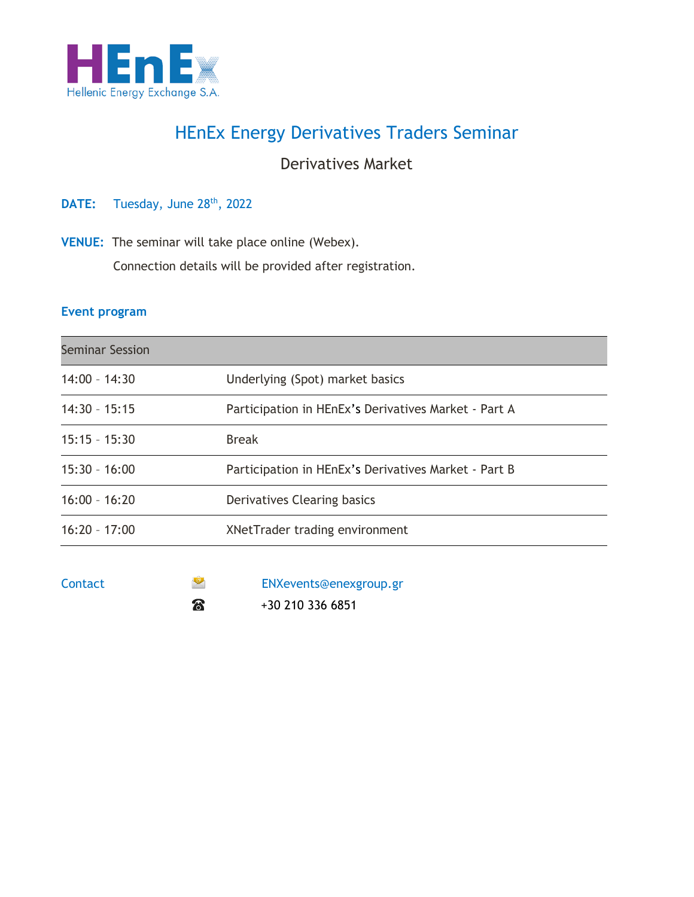

## HEnEx Energy Derivatives Traders Seminar

### Derivatives Market

DATE: Tuesday, June 28<sup>th</sup>, 2022

**VENUE:** The seminar will take place online (Webex).

Connection details will be provided after registration.

#### **Event program**

| <b>Seminar Session</b> |                                                      |  |
|------------------------|------------------------------------------------------|--|
| $14:00 - 14:30$        | Underlying (Spot) market basics                      |  |
| $14:30 - 15:15$        | Participation in HEnEx's Derivatives Market - Part A |  |
| $15:15 - 15:30$        | <b>Break</b>                                         |  |
| $15:30 - 16:00$        | Participation in HEnEx's Derivatives Market - Part B |  |
| $16:00 - 16:20$        | Derivatives Clearing basics                          |  |
| $16:20 - 17:00$        | XNetTrader trading environment                       |  |
|                        |                                                      |  |

| Contact | $\bullet$ | ENXevents@enexgroup.gr |
|---------|-----------|------------------------|
|         | කි        | +30 210 336 6851       |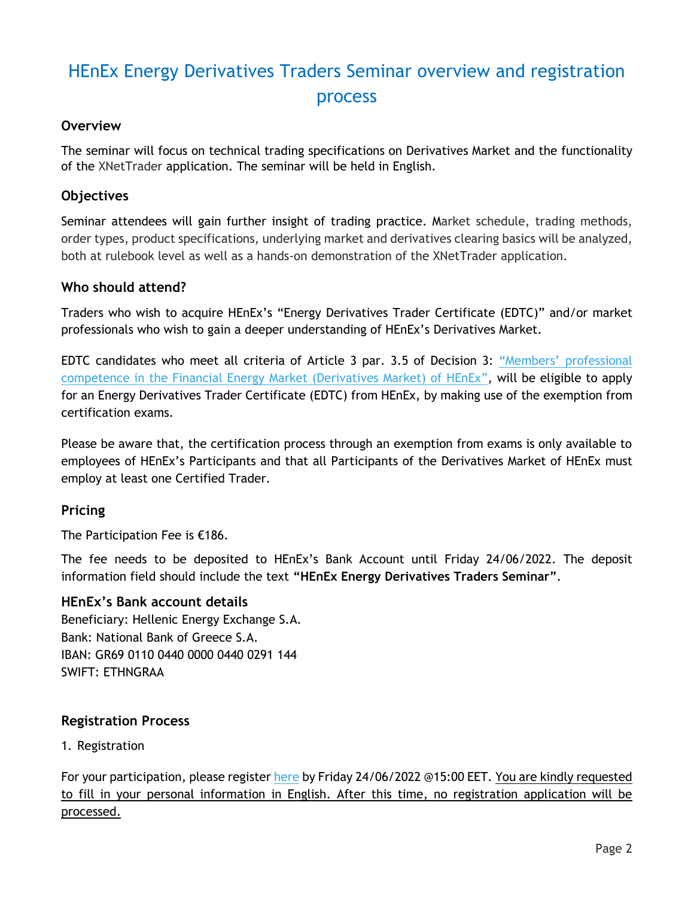# HEnEx Energy Derivatives Traders Seminar overview and registration process

#### **Overview**

The seminar will focus on technical trading specifications on Derivatives Market and the functionality of the XNetTrader application. The seminar will be held in English.

#### **Objectives**

Seminar attendees will gain further insight of trading practice. Market schedule, trading methods, order types, product specifications, underlying market and derivatives clearing basics will be analyzed, both at rulebook level as well as a hands-on demonstration of the XNetTrader application.

#### **Who should attend?**

Traders who wish to acquire HEnEx's "Energy Derivatives Trader Certificate (EDTC)" and/or market professionals who wish to gain a deeper understanding of HEnEx's Derivatives Market.

EDTC candidates who meet all criteria of Article 3 par. 3.5 of Decision 3: ["Members' professional](https://www.enexgroup.gr/documents/20126/184422/20200306_Decision_03_EN.pdf)  [competence in the Financial Energy Market \(Derivatives Market\) of HEnEx](https://www.enexgroup.gr/documents/20126/184422/20200306_Decision_03_EN.pdf)", will be eligible to apply for an Energy Derivatives Trader Certificate (EDTC) from HEnEx, by making use of the exemption from certification exams.

Please be aware that, the certification process through an exemption from exams is only available to employees of HEnEx's Participants and that all Participants of the Derivatives Market of HEnEx must employ at least one Certified Trader.

#### **Pricing**

The Participation Fee is €186.

The fee needs to be deposited to HEnEx's Bank Account until Friday 24/06/2022. The deposit information field should include the text **"HEnEx Energy Derivatives Traders Seminar"**.

#### **HEnEx's Bank account details**

Beneficiary: Hellenic Energy Exchange S.A. Bank: National Bank of Greece S.A. IBAN: GR69 0110 0440 0000 0440 0291 144 SWIFT: ETHNGRAA

#### **Registration Process**

1. Registration

For your participation, please register [here](https://www.enexgroup.gr/web/guest/edtc-seminar-registration-form) by Friday 24/06/2022 @15:00 EET. You are kindly requested to fill in your personal information in English. After this time, no registration application will be processed.